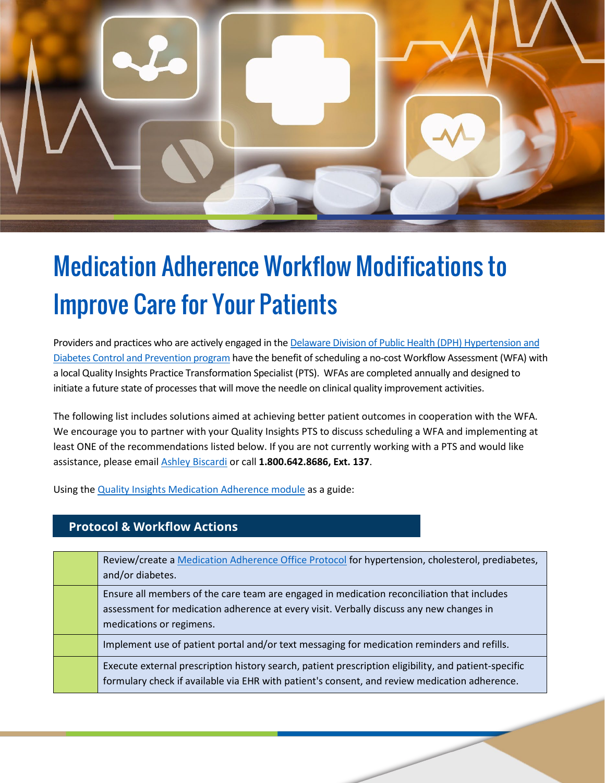

## Medication Adherence Workflow Modifications to Improve Care for Your Patients

Providers and practices who are actively engaged in the [Delaware Division of Public Health \(DPH\) Hypertension and](http://improve.qualityinsights.org/Projects/DE-Hypertension-and-Diabetes.aspx)  [Diabetes Control and Prevention program](http://improve.qualityinsights.org/Projects/DE-Hypertension-and-Diabetes.aspx) have the benefit of scheduling a no-cost Workflow Assessment (WFA) with a local Quality Insights Practice Transformation Specialist (PTS). WFAs are completed annually and designed to initiate a future state of processes that will move the needle on clinical quality improvement activities.

The following list includes solutions aimed at achieving better patient outcomes in cooperation with the WFA. We encourage you to partner with your Quality Insights PTS to discuss scheduling a WFA and implementing at least ONE of the recommendations listed below. If you are not currently working with a PTS and would like assistance, please email [Ashley Biscardi](mailto:abiscardi@qualityinsights.org) or call **1.800.642.8686, Ext. 137**.

Using the [Quality Insights Medication Adherence module](https://improve.qualityinsights.org/Projects/DE-Hypertension-and-Diabetes/Practice-Toolkits.aspx) as a guide:

**Protocol & Workflow Actions**

| Review/create a Medication Adherence Office Protocol for hypertension, cholesterol, prediabetes,<br>and/or diabetes.                                                                                              |
|-------------------------------------------------------------------------------------------------------------------------------------------------------------------------------------------------------------------|
| Ensure all members of the care team are engaged in medication reconciliation that includes<br>assessment for medication adherence at every visit. Verbally discuss any new changes in<br>medications or regimens. |
| Implement use of patient portal and/or text messaging for medication reminders and refills.                                                                                                                       |
| Execute external prescription history search, patient prescription eligibility, and patient-specific<br>formulary check if available via EHR with patient's consent, and review medication adherence.             |